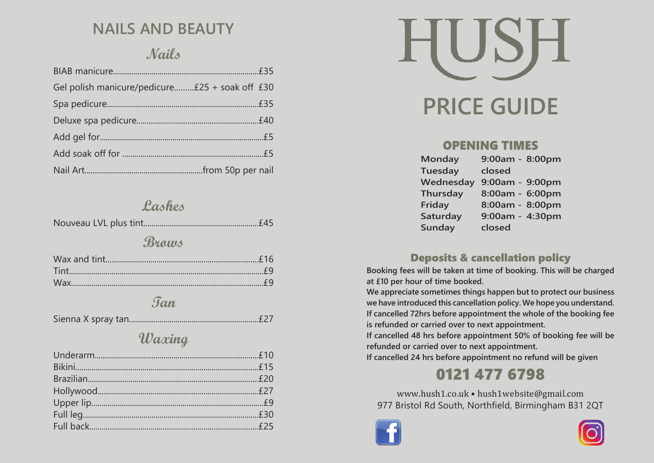# **NAILS AND BEAUTY**

## **Nails**

| Gel polish manicure/pedicure £25 + soak off £30 |  |
|-------------------------------------------------|--|
|                                                 |  |
|                                                 |  |
|                                                 |  |
|                                                 |  |
|                                                 |  |

## **Lashes**

|--|--|--|

## **Brows**

#### **Tan**

|--|--|--|--|

## **Waxing**



#### **OPENING TIMES**

| <b>Monday</b>   | 9:00am - 8:00pm |
|-----------------|-----------------|
| <b>Tuesday</b>  | closed          |
| Wednesday       | 9:00am - 9:00pm |
| <b>Thursday</b> | 8:00am - 6:00pm |
| Friday          | 8:00am - 8:00pm |
| Saturday        | 9:00am - 4:30pm |
| Sunday          | closed          |

#### **Deposits & cancellation policy**

**Booking fees will be taken at time of booking. This will be charged at £10 per hour of time booked.**

**We appreciate sometimes things happen but to protect our business we have introduced this cancellation policy. We hope you understand. If cancelled 72hrs before appointment the whole of the booking fee is refunded or carried over to next appointment.**

**If cancelled 48 hrs before appointment 50% of booking fee will be refunded or carried over to next appointment.**

**If cancelled 24 hrs before appointment no refund will be given**

# **0121 477 6798**

www.hush1.co.uk • hush1website@gmail.com 977 Bristol Rd South, Northfield, Birmingham B31 2QT